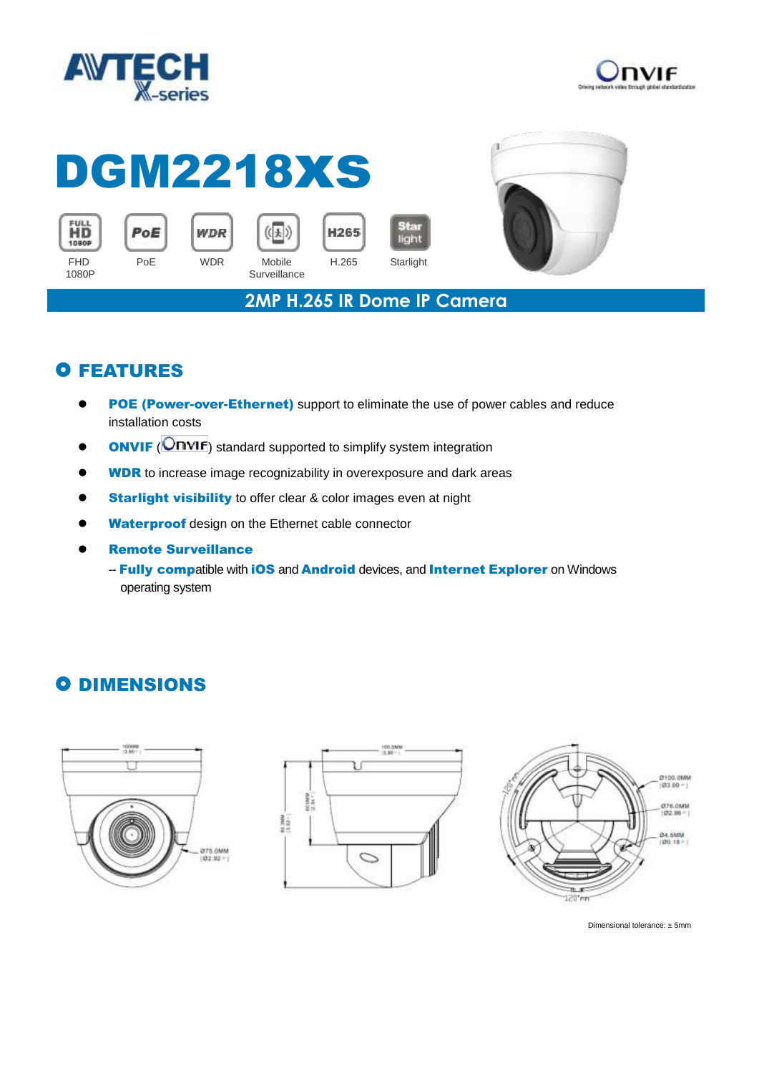



## DGM2218xs Star











**2MP H.265 IR Dome IP Camera**

light

## **O FEATURES**

- **POE (Power-over-Ethernet)** support to eliminate the use of power cables and reduce installation costs
- **ONVIF** (**ONVIF**) standard supported to simplify system integration
- **WDR** to increase image recognizability in overexposure and dark areas
- **Starlight visibility** to offer clear & color images even at night
- Waterproof design on the Ethernet cable connector
- Remote Surveillance
	- -- Fully compatible with iOS and Android devices, and Internet Explorer on Windows operating system

## **O DIMENSIONS**







Dimensional tolerance: ± 5mm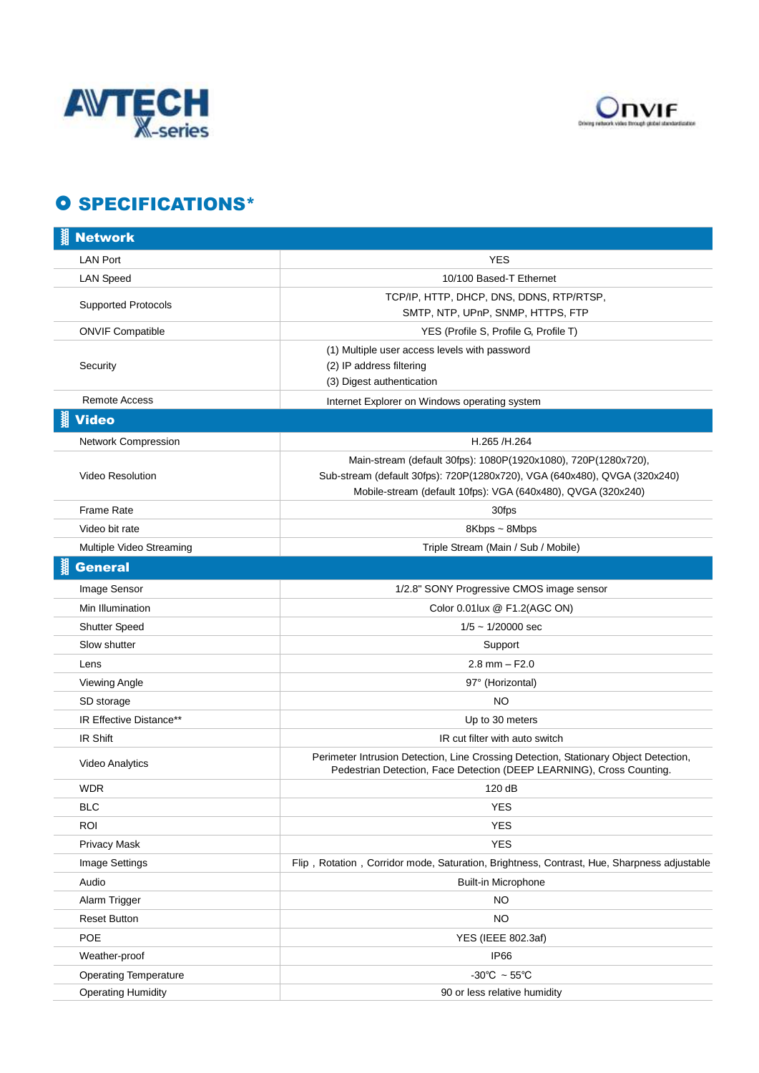



## **O SPECIFICATIONS\***

| <b>Network</b>               |                                                                                                                                                                                                             |
|------------------------------|-------------------------------------------------------------------------------------------------------------------------------------------------------------------------------------------------------------|
| <b>LAN Port</b>              | <b>YES</b>                                                                                                                                                                                                  |
| <b>LAN Speed</b>             | 10/100 Based-T Ethernet                                                                                                                                                                                     |
| <b>Supported Protocols</b>   | TCP/IP, HTTP, DHCP, DNS, DDNS, RTP/RTSP,<br>SMTP, NTP, UPnP, SNMP, HTTPS, FTP                                                                                                                               |
| <b>ONVIF Compatible</b>      | YES (Profile S, Profile G, Profile T)                                                                                                                                                                       |
| Security                     | (1) Multiple user access levels with password<br>(2) IP address filtering<br>(3) Digest authentication                                                                                                      |
| <b>Remote Access</b>         | Internet Explorer on Windows operating system                                                                                                                                                               |
| <b>Video</b>                 |                                                                                                                                                                                                             |
| Network Compression          | H.265 /H.264                                                                                                                                                                                                |
| <b>Video Resolution</b>      | Main-stream (default 30fps): 1080P(1920x1080), 720P(1280x720),<br>Sub-stream (default 30fps): 720P(1280x720), VGA (640x480), QVGA (320x240)<br>Mobile-stream (default 10fps): VGA (640x480), QVGA (320x240) |
| <b>Frame Rate</b>            | 30fps                                                                                                                                                                                                       |
| Video bit rate               | 8Kbps ~ 8Mbps                                                                                                                                                                                               |
| Multiple Video Streaming     | Triple Stream (Main / Sub / Mobile)                                                                                                                                                                         |
| <b>General</b>               |                                                                                                                                                                                                             |
| Image Sensor                 | 1/2.8" SONY Progressive CMOS image sensor                                                                                                                                                                   |
| Min Illumination             | Color 0.01lux @ F1.2(AGC ON)                                                                                                                                                                                |
| Shutter Speed                | $1/5 \sim 1/20000$ sec                                                                                                                                                                                      |
| Slow shutter                 | Support                                                                                                                                                                                                     |
| Lens                         | $2.8$ mm $-$ F2.0                                                                                                                                                                                           |
| Viewing Angle                | 97° (Horizontal)                                                                                                                                                                                            |
| SD storage                   | NO                                                                                                                                                                                                          |
| IR Effective Distance**      | Up to 30 meters                                                                                                                                                                                             |
| IR Shift                     | IR cut filter with auto switch                                                                                                                                                                              |
| <b>Video Analytics</b>       | Perimeter Intrusion Detection, Line Crossing Detection, Stationary Object Detection,<br>Pedestrian Detection, Face Detection (DEEP LEARNING), Cross Counting.                                               |
| <b>WDR</b>                   | 120 dB                                                                                                                                                                                                      |
| <b>BLC</b>                   | <b>YES</b>                                                                                                                                                                                                  |
| <b>ROI</b>                   | <b>YES</b>                                                                                                                                                                                                  |
| <b>Privacy Mask</b>          | <b>YES</b>                                                                                                                                                                                                  |
| Image Settings               | Flip, Rotation, Corridor mode, Saturation, Brightness, Contrast, Hue, Sharpness adjustable                                                                                                                  |
| Audio                        | Built-in Microphone                                                                                                                                                                                         |
| Alarm Trigger                | NO.                                                                                                                                                                                                         |
| <b>Reset Button</b>          | <b>NO</b>                                                                                                                                                                                                   |
| POE                          | YES (IEEE 802.3af)                                                                                                                                                                                          |
| Weather-proof                | IP66                                                                                                                                                                                                        |
| <b>Operating Temperature</b> | -30°C $\sim$ 55°C                                                                                                                                                                                           |
| <b>Operating Humidity</b>    | 90 or less relative humidity                                                                                                                                                                                |